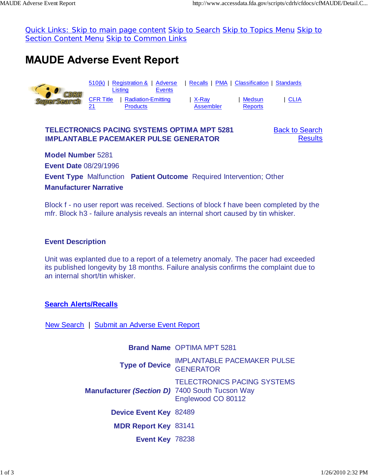Quick Links: Skip to main page content Skip to Search Skip to Topics Menu Skip to Section Content Menu Skip to Common Links

# **MAUDE Adverse Event Report**



### **TELECTRONICS PACING SYSTEMS OPTIMA MPT 5281 IMPLANTABLE PACEMAKER PULSE GENERATOR**

Back to Search **Results** 

**Model Number** 5281 **Event Date** 08/29/1996 **Event Type** Malfunction **Patient Outcome** Required Intervention; Other **Manufacturer Narrative**

Block f - no user report was received. Sections of block f have been completed by the mfr. Block h3 - failure analysis reveals an internal short caused by tin whisker.

#### **Event Description**

Unit was explanted due to a report of a telemetry anomaly. The pacer had exceeded its published longevity by 18 months. Failure analysis confirms the complaint due to an internal short/tin whisker.

## **Search Alerts/Recalls**

New Search | Submit an Adverse Event Report

**Brand Name** OPTIMA MPT 5281 **Type of Device IMPLANTABLE PACEMAKER PULSE GENERATOR Manufacturer** *(Section D)* 7400 South Tucson Way TELECTRONICS PACING SYSTEMS Englewood CO 80112 **Device Event Key** 82489 **MDR Report Key** 83141 **Event Key** 78238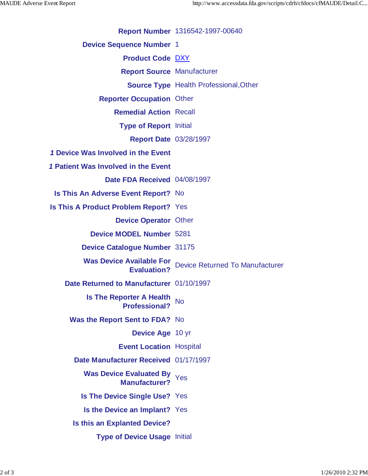**Report Number** 1316542-1997-00640

**Device Sequence Number** 1

**Product Code** DXY

**Report Source** Manufacturer

**Source Type** Health Professional,Other

**Reporter Occupation** Other

**Remedial Action** Recall

**Type of Report** Initial

**Report Date** 03/28/1997

*1* **Device Was Involved in the Event**

*1* **Patient Was Involved in the Event**

**Date FDA Received** 04/08/1997

**Is This An Adverse Event Report?** No

**Is This A Product Problem Report?** Yes

**Device Operator** Other

**Device MODEL Number** 5281

**Device Catalogue Number** 31175

**Was Device Available For Evaluation?** Device Returned To Manufacturer

**Date Returned to Manufacturer** 01/10/1997

**Is The Reporter A Health Professional?** No

**Was the Report Sent to FDA?** No

**Device Age** 10 yr

**Event Location** Hospital

**Date Manufacturer Received** 01/17/1997

**Was Device Evaluated By Manufacturer?** Yes

**Is The Device Single Use?** Yes

**Is the Device an Implant?** Yes

**Is this an Explanted Device?**

**Type of Device Usage** Initial